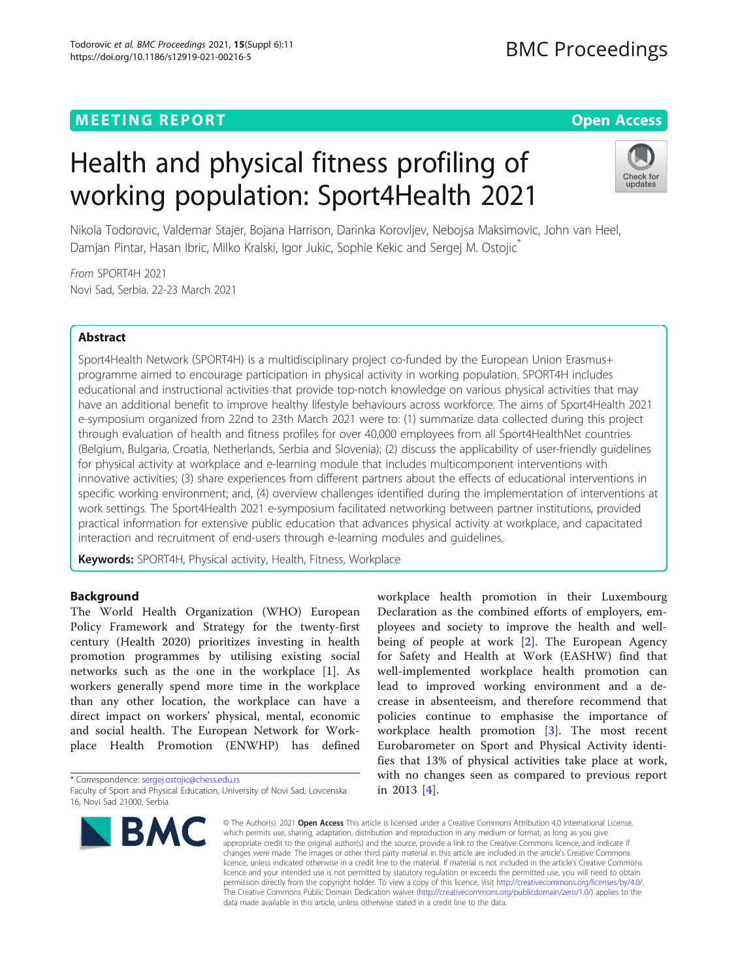# **MEETING REPORT CONTROL** CONTROL CONTROL CONTROL CONTROL CONTROL CONTROL CONTROL CONTROL CONTROL CONTROL CONTROL CONTROL CONTROL CONTROL CONTROL CONTROL CONTROL CONTROL CONTROL CONTROL CONTROL CONTROL CONTROL CONTROL CONTR

# Health and physical fitness profiling of working population: Sport4Health 2021



Nikola Todorovic, Valdemar Stajer, Bojana Harrison, Darinka Korovljev, Nebojsa Maksimovic, John van Heel, Damjan Pintar, Hasan Ibric, Milko Kralski, Igor Jukic, Sophie Kekic and Sergej M. Ostojic<sup>\*</sup>

From SPORT4H 2021 Novi Sad, Serbia. 22-23 March 2021

# Abstract

Sport4Health Network (SPORT4H) is a multidisciplinary project co-funded by the European Union Erasmus+ programme aimed to encourage participation in physical activity in working population. SPORT4H includes educational and instructional activities that provide top-notch knowledge on various physical activities that may have an additional benefit to improve healthy lifestyle behaviours across workforce. The aims of Sport4Health 2021 e-symposium organized from 22nd to 23th March 2021 were to: (1) summarize data collected during this project through evaluation of health and fitness profiles for over 40,000 employees from all Sport4HealthNet countries (Belgium, Bulgaria, Croatia, Netherlands, Serbia and Slovenia); (2) discuss the applicability of user-friendly guidelines for physical activity at workplace and e-learning module that includes multicomponent interventions with innovative activities; (3) share experiences from different partners about the effects of educational interventions in specific working environment; and, (4) overview challenges identified during the implementation of interventions at work settings. The Sport4Health 2021 e-symposium facilitated networking between partner institutions, provided practical information for extensive public education that advances physical activity at workplace, and capacitated interaction and recruitment of end-users through e-learning modules and guidelines.

Keywords: SPORT4H, Physical activity, Health, Fitness, Workplace

# **Background**

The World Health Organization (WHO) European Policy Framework and Strategy for the twenty-first century (Health 2020) prioritizes investing in health promotion programmes by utilising existing social networks such as the one in the workplace [\[1](#page-7-0)]. As workers generally spend more time in the workplace than any other location, the workplace can have a direct impact on workers' physical, mental, economic and social health. The European Network for Workplace Health Promotion (ENWHP) has defined

\* Correspondence: [sergej.ostojic@chess.edu.rs](mailto:sergej.ostojic@chess.edu.rs)

Faculty of Sport and Physical Education, University of Novi Sad, Lovcenska 16, Novi Sad 21000, Serbia



workplace health promotion in their Luxembourg Declaration as the combined efforts of employers, employees and society to improve the health and wellbeing of people at work [[2\]](#page-7-0). The European Agency for Safety and Health at Work (EASHW) find that well-implemented workplace health promotion can lead to improved working environment and a decrease in absenteeism, and therefore recommend that policies continue to emphasise the importance of workplace health promotion [[3\]](#page-7-0). The most recent Eurobarometer on Sport and Physical Activity identifies that 13% of physical activities take place at work, with no changes seen as compared to previous report in 2013 [[4](#page-7-0)].

© The Author(s), 2021 **Open Access** This article is licensed under a Creative Commons Attribution 4.0 International License, which permits use, sharing, adaptation, distribution and reproduction in any medium or format, as long as you give appropriate credit to the original author(s) and the source, provide a link to the Creative Commons licence, and indicate if changes were made. The images or other third party material in this article are included in the article's Creative Commons licence, unless indicated otherwise in a credit line to the material. If material is not included in the article's Creative Commons licence and your intended use is not permitted by statutory regulation or exceeds the permitted use, you will need to obtain permission directly from the copyright holder. To view a copy of this licence, visit [http://creativecommons.org/licenses/by/4.0/.](http://creativecommons.org/licenses/by/4.0/) The Creative Commons Public Domain Dedication waiver [\(http://creativecommons.org/publicdomain/zero/1.0/](http://creativecommons.org/publicdomain/zero/1.0/)) applies to the data made available in this article, unless otherwise stated in a credit line to the data.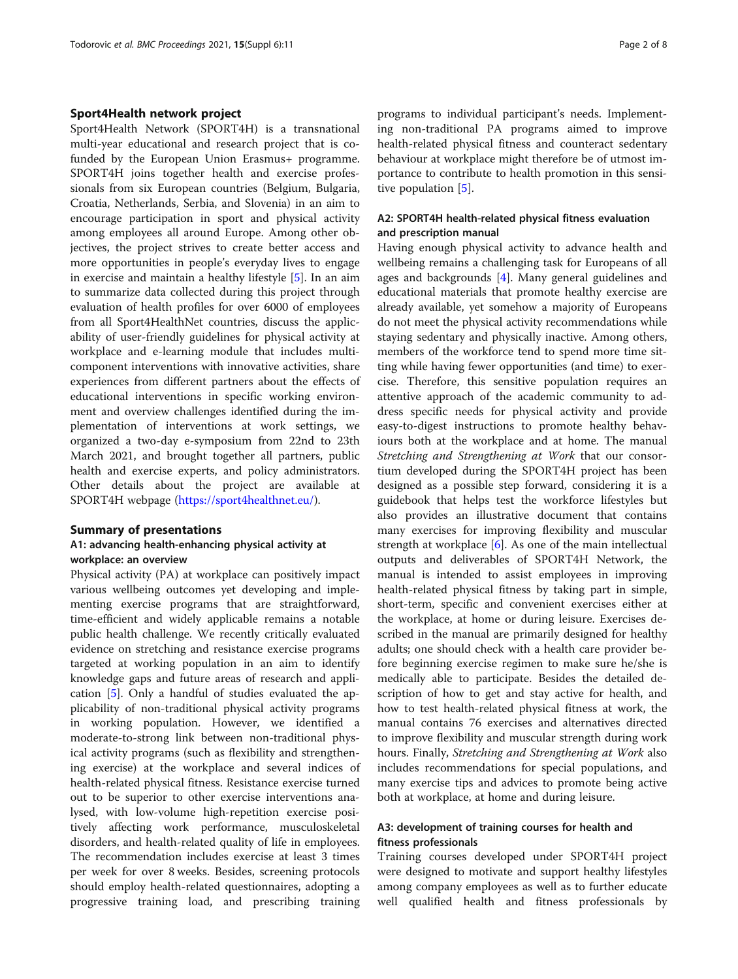#### Sport4Health network project

Sport4Health Network (SPORT4H) is a transnational multi-year educational and research project that is cofunded by the European Union Erasmus+ programme. SPORT4H joins together health and exercise professionals from six European countries (Belgium, Bulgaria, Croatia, Netherlands, Serbia, and Slovenia) in an aim to encourage participation in sport and physical activity among employees all around Europe. Among other objectives, the project strives to create better access and more opportunities in people's everyday lives to engage in exercise and maintain a healthy lifestyle [\[5](#page-7-0)]. In an aim to summarize data collected during this project through evaluation of health profiles for over 6000 of employees from all Sport4HealthNet countries, discuss the applicability of user-friendly guidelines for physical activity at workplace and e-learning module that includes multicomponent interventions with innovative activities, share experiences from different partners about the effects of educational interventions in specific working environment and overview challenges identified during the implementation of interventions at work settings, we organized a two-day e-symposium from 22nd to 23th March 2021, and brought together all partners, public health and exercise experts, and policy administrators. Other details about the project are available at SPORT4H webpage [\(https://sport4healthnet.eu/](https://sport4healthnet.eu/)).

#### Summary of presentations

## A1: advancing health-enhancing physical activity at workplace: an overview

Physical activity (PA) at workplace can positively impact various wellbeing outcomes yet developing and implementing exercise programs that are straightforward, time-efficient and widely applicable remains a notable public health challenge. We recently critically evaluated evidence on stretching and resistance exercise programs targeted at working population in an aim to identify knowledge gaps and future areas of research and application [\[5](#page-7-0)]. Only a handful of studies evaluated the applicability of non-traditional physical activity programs in working population. However, we identified a moderate-to-strong link between non-traditional physical activity programs (such as flexibility and strengthening exercise) at the workplace and several indices of health-related physical fitness. Resistance exercise turned out to be superior to other exercise interventions analysed, with low-volume high-repetition exercise positively affecting work performance, musculoskeletal disorders, and health-related quality of life in employees. The recommendation includes exercise at least 3 times per week for over 8 weeks. Besides, screening protocols should employ health-related questionnaires, adopting a progressive training load, and prescribing training

programs to individual participant's needs. Implementing non-traditional PA programs aimed to improve health-related physical fitness and counteract sedentary behaviour at workplace might therefore be of utmost importance to contribute to health promotion in this sensitive population  $[5]$  $[5]$ .

# A2: SPORT4H health-related physical fitness evaluation and prescription manual

Having enough physical activity to advance health and wellbeing remains a challenging task for Europeans of all ages and backgrounds [[4\]](#page-7-0). Many general guidelines and educational materials that promote healthy exercise are already available, yet somehow a majority of Europeans do not meet the physical activity recommendations while staying sedentary and physically inactive. Among others, members of the workforce tend to spend more time sitting while having fewer opportunities (and time) to exercise. Therefore, this sensitive population requires an attentive approach of the academic community to address specific needs for physical activity and provide easy-to-digest instructions to promote healthy behaviours both at the workplace and at home. The manual Stretching and Strengthening at Work that our consortium developed during the SPORT4H project has been designed as a possible step forward, considering it is a guidebook that helps test the workforce lifestyles but also provides an illustrative document that contains many exercises for improving flexibility and muscular strength at workplace [\[6](#page-7-0)]. As one of the main intellectual outputs and deliverables of SPORT4H Network, the manual is intended to assist employees in improving health-related physical fitness by taking part in simple, short-term, specific and convenient exercises either at the workplace, at home or during leisure. Exercises described in the manual are primarily designed for healthy adults; one should check with a health care provider before beginning exercise regimen to make sure he/she is medically able to participate. Besides the detailed description of how to get and stay active for health, and how to test health-related physical fitness at work, the manual contains 76 exercises and alternatives directed to improve flexibility and muscular strength during work hours. Finally, Stretching and Strengthening at Work also includes recommendations for special populations, and many exercise tips and advices to promote being active both at workplace, at home and during leisure.

## A3: development of training courses for health and fitness professionals

Training courses developed under SPORT4H project were designed to motivate and support healthy lifestyles among company employees as well as to further educate well qualified health and fitness professionals by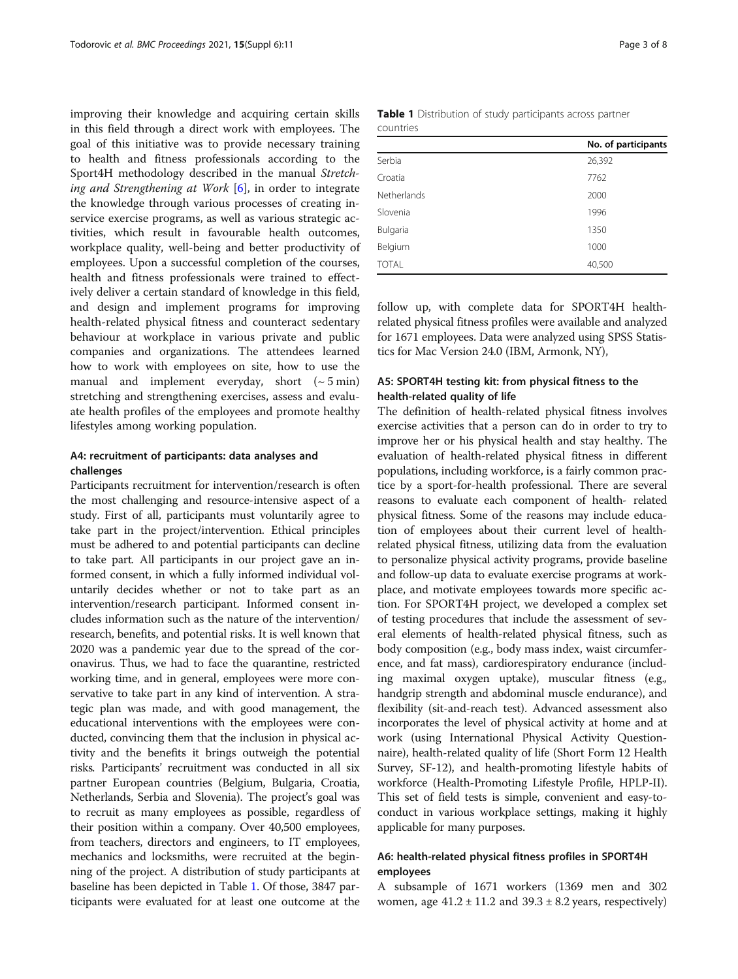improving their knowledge and acquiring certain skills in this field through a direct work with employees. The goal of this initiative was to provide necessary training to health and fitness professionals according to the Sport4H methodology described in the manual Stretching and Strengthening at Work  $[6]$  $[6]$  $[6]$ , in order to integrate the knowledge through various processes of creating inservice exercise programs, as well as various strategic activities, which result in favourable health outcomes, workplace quality, well-being and better productivity of employees. Upon a successful completion of the courses, health and fitness professionals were trained to effectively deliver a certain standard of knowledge in this field, and design and implement programs for improving health-related physical fitness and counteract sedentary behaviour at workplace in various private and public companies and organizations. The attendees learned how to work with employees on site, how to use the manual and implement everyday, short  $({\sim}5 \text{ min})$ stretching and strengthening exercises, assess and evaluate health profiles of the employees and promote healthy lifestyles among working population.

# A4: recruitment of participants: data analyses and challenges

Participants recruitment for intervention/research is often the most challenging and resource-intensive aspect of a study. First of all, participants must voluntarily agree to take part in the project/intervention. Ethical principles must be adhered to and potential participants can decline to take part. All participants in our project gave an informed consent, in which a fully informed individual voluntarily decides whether or not to take part as an intervention/research participant. Informed consent includes information such as the nature of the intervention/ research, benefits, and potential risks. It is well known that 2020 was a pandemic year due to the spread of the coronavirus. Thus, we had to face the quarantine, restricted working time, and in general, employees were more conservative to take part in any kind of intervention. A strategic plan was made, and with good management, the educational interventions with the employees were conducted, convincing them that the inclusion in physical activity and the benefits it brings outweigh the potential risks. Participants' recruitment was conducted in all six partner European countries (Belgium, Bulgaria, Croatia, Netherlands, Serbia and Slovenia). The project's goal was to recruit as many employees as possible, regardless of their position within a company. Over 40,500 employees, from teachers, directors and engineers, to IT employees, mechanics and locksmiths, were recruited at the beginning of the project. A distribution of study participants at baseline has been depicted in Table 1. Of those, 3847 participants were evaluated for at least one outcome at the

|           | Table 1 Distribution of study participants across partner |  |  |  |
|-----------|-----------------------------------------------------------|--|--|--|
| countries |                                                           |  |  |  |

|              | No. of participants |
|--------------|---------------------|
| Serbia       | 26,392              |
| Croatia      | 7762                |
| Netherlands  | 2000                |
| Slovenia     | 1996                |
| Bulgaria     | 1350                |
| Belgium      | 1000                |
| <b>TOTAL</b> | 40,500              |

follow up, with complete data for SPORT4H healthrelated physical fitness profiles were available and analyzed for 1671 employees. Data were analyzed using SPSS Statistics for Mac Version 24.0 (IBM, Armonk, NY),

# A5: SPORT4H testing kit: from physical fitness to the health-related quality of life

The definition of health-related physical fitness involves exercise activities that a person can do in order to try to improve her or his physical health and stay healthy. The evaluation of health-related physical fitness in different populations, including workforce, is a fairly common practice by a sport-for-health professional. There are several reasons to evaluate each component of health- related physical fitness. Some of the reasons may include education of employees about their current level of healthrelated physical fitness, utilizing data from the evaluation to personalize physical activity programs, provide baseline and follow-up data to evaluate exercise programs at workplace, and motivate employees towards more specific action. For SPORT4H project, we developed a complex set of testing procedures that include the assessment of several elements of health-related physical fitness, such as body composition (e.g., body mass index, waist circumference, and fat mass), cardiorespiratory endurance (including maximal oxygen uptake), muscular fitness (e.g., handgrip strength and abdominal muscle endurance), and flexibility (sit-and-reach test). Advanced assessment also incorporates the level of physical activity at home and at work (using International Physical Activity Questionnaire), health-related quality of life (Short Form 12 Health Survey, SF-12), and health-promoting lifestyle habits of workforce (Health-Promoting Lifestyle Profile, HPLP-II). This set of field tests is simple, convenient and easy-toconduct in various workplace settings, making it highly applicable for many purposes.

# A6: health-related physical fitness profiles in SPORT4H employees

A subsample of 1671 workers (1369 men and 302 women, age  $41.2 \pm 11.2$  and  $39.3 \pm 8.2$  years, respectively)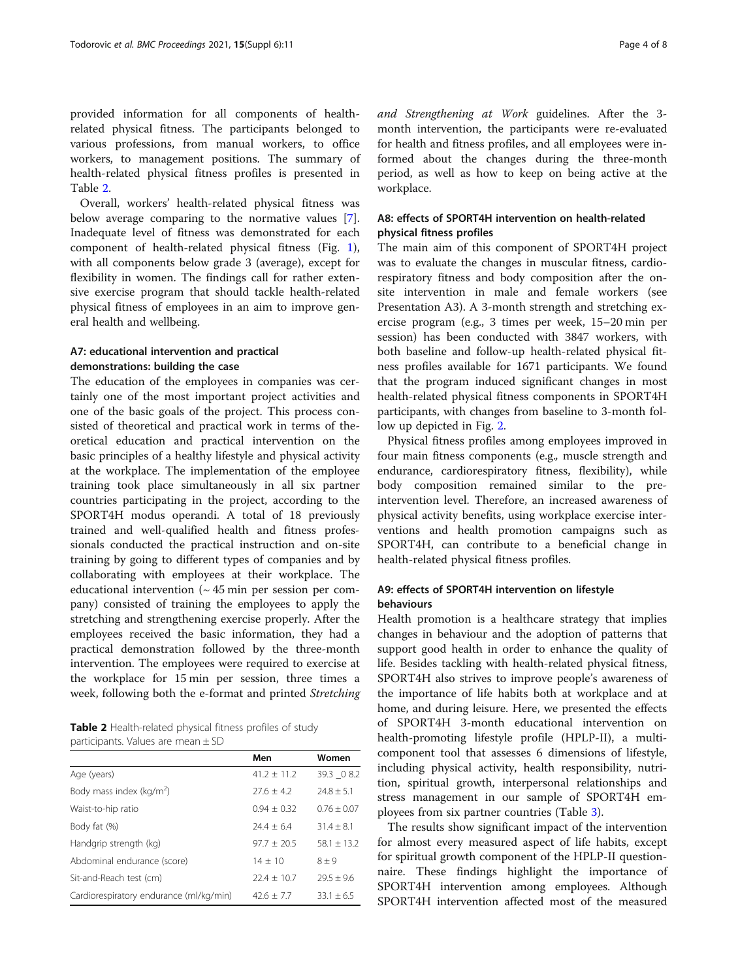provided information for all components of healthrelated physical fitness. The participants belonged to various professions, from manual workers, to office workers, to management positions. The summary of health-related physical fitness profiles is presented in Table 2.

Overall, workers' health-related physical fitness was below average comparing to the normative values [\[7](#page-7-0)]. Inadequate level of fitness was demonstrated for each component of health-related physical fitness (Fig. [1](#page-4-0)), with all components below grade 3 (average), except for flexibility in women. The findings call for rather extensive exercise program that should tackle health-related physical fitness of employees in an aim to improve general health and wellbeing.

# A7: educational intervention and practical demonstrations: building the case

The education of the employees in companies was certainly one of the most important project activities and one of the basic goals of the project. This process consisted of theoretical and practical work in terms of theoretical education and practical intervention on the basic principles of a healthy lifestyle and physical activity at the workplace. The implementation of the employee training took place simultaneously in all six partner countries participating in the project, according to the SPORT4H modus operandi. A total of 18 previously trained and well-qualified health and fitness professionals conducted the practical instruction and on-site training by going to different types of companies and by collaborating with employees at their workplace. The educational intervention  $($   $\sim$  45 min per session per company) consisted of training the employees to apply the stretching and strengthening exercise properly. After the employees received the basic information, they had a practical demonstration followed by the three-month intervention. The employees were required to exercise at the workplace for 15 min per session, three times a week, following both the e-format and printed Stretching

Table 2 Health-related physical fitness profiles of study participants. Values are mean ± SD

|                                         | Men             | Women         |
|-----------------------------------------|-----------------|---------------|
| Age (years)                             | $41.2 \pm 11.2$ | 39.3 0 8.2    |
| Body mass index ( $\text{kg/m}^2$ )     | $27.6 + 4.2$    | $74.8 + 5.1$  |
| Waist-to-hip ratio                      | $0.94 + 0.32$   | $0.76 + 0.07$ |
| Body fat (%)                            | $74.4 + 6.4$    | $31.4 + 8.1$  |
| Handgrip strength (kg)                  | $97.7 + 20.5$   | $58.1 + 13.2$ |
| Abdominal endurance (score)             | $14 + 10$       | $8 + 9$       |
| Sit-and-Reach test (cm)                 | $224 + 10.7$    | $79.5 + 9.6$  |
| Cardiorespiratory endurance (ml/kg/min) | $42.6 + 7.7$    | $33.1 + 6.5$  |

and Strengthening at Work guidelines. After the 3 month intervention, the participants were re-evaluated for health and fitness profiles, and all employees were informed about the changes during the three-month period, as well as how to keep on being active at the workplace.

# A8: effects of SPORT4H intervention on health-related physical fitness profiles

The main aim of this component of SPORT4H project was to evaluate the changes in muscular fitness, cardiorespiratory fitness and body composition after the onsite intervention in male and female workers (see Presentation A3). A 3-month strength and stretching exercise program (e.g., 3 times per week, 15–20 min per session) has been conducted with 3847 workers, with both baseline and follow-up health-related physical fitness profiles available for 1671 participants. We found that the program induced significant changes in most health-related physical fitness components in SPORT4H participants, with changes from baseline to 3-month follow up depicted in Fig. [2](#page-4-0).

Physical fitness profiles among employees improved in four main fitness components (e.g., muscle strength and endurance, cardiorespiratory fitness, flexibility), while body composition remained similar to the preintervention level. Therefore, an increased awareness of physical activity benefits, using workplace exercise interventions and health promotion campaigns such as SPORT4H, can contribute to a beneficial change in health-related physical fitness profiles.

# A9: effects of SPORT4H intervention on lifestyle behaviours

Health promotion is a healthcare strategy that implies changes in behaviour and the adoption of patterns that support good health in order to enhance the quality of life. Besides tackling with health-related physical fitness, SPORT4H also strives to improve people's awareness of the importance of life habits both at workplace and at home, and during leisure. Here, we presented the effects of SPORT4H 3-month educational intervention on health-promoting lifestyle profile (HPLP-II), a multicomponent tool that assesses 6 dimensions of lifestyle, including physical activity, health responsibility, nutrition, spiritual growth, interpersonal relationships and stress management in our sample of SPORT4H employees from six partner countries (Table [3](#page-5-0)).

The results show significant impact of the intervention for almost every measured aspect of life habits, except for spiritual growth component of the HPLP-II questionnaire. These findings highlight the importance of SPORT4H intervention among employees. Although SPORT4H intervention affected most of the measured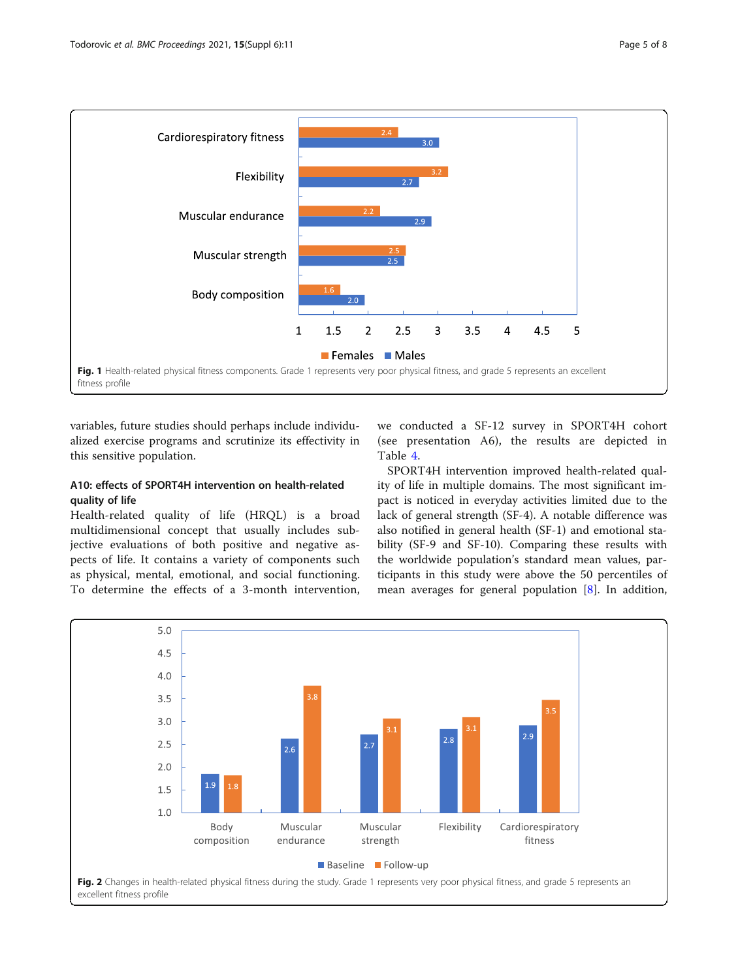

<span id="page-4-0"></span>

variables, future studies should perhaps include individualized exercise programs and scrutinize its effectivity in this sensitive population.

# A10: effects of SPORT4H intervention on health-related quality of life

Health-related quality of life (HRQL) is a broad multidimensional concept that usually includes subjective evaluations of both positive and negative aspects of life. It contains a variety of components such as physical, mental, emotional, and social functioning. To determine the effects of a 3-month intervention, we conducted a SF-12 survey in SPORT4H cohort (see presentation A6), the results are depicted in Table [4](#page-5-0).

SPORT4H intervention improved health-related quality of life in multiple domains. The most significant impact is noticed in everyday activities limited due to the lack of general strength (SF-4). A notable difference was also notified in general health (SF-1) and emotional stability (SF-9 and SF-10). Comparing these results with the worldwide population's standard mean values, participants in this study were above the 50 percentiles of mean averages for general population [\[8](#page-7-0)]. In addition,

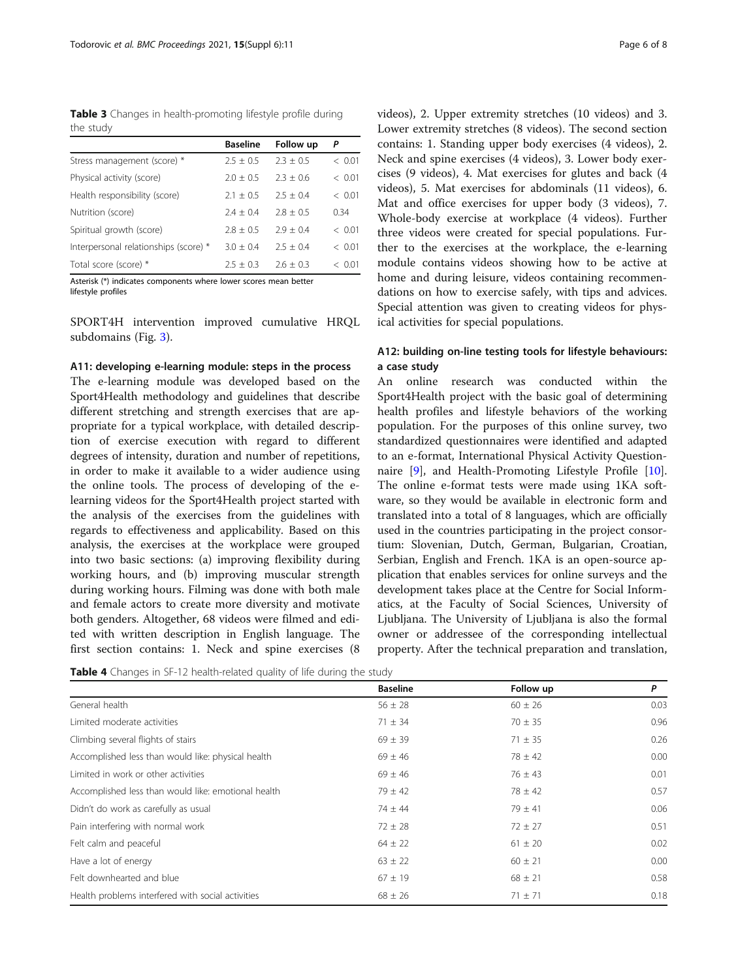<span id="page-5-0"></span>Table 3 Changes in health-promoting lifestyle profile during the study

|                                       | <b>Baseline</b> | Follow up   | P              |
|---------------------------------------|-----------------|-------------|----------------|
| Stress management (score) *           | $2.5 + 0.5$     | $2.3 + 0.5$ | < 0.01         |
| Physical activity (score)             | $2.0 + 0.5$     | $2.3 + 0.6$ | < 0.01         |
| Health responsibility (score)         | $2.1 + 0.5$     | $75 + 04$   | < 0.01         |
| Nutrition (score)                     | $7.4 + 0.4$     | $2.8 + 0.5$ | 0.34           |
| Spiritual growth (score)              | $2.8 + 0.5$     | $2.9 + 0.4$ | < 0.01         |
| Interpersonal relationships (score) * | $3.0 + 0.4$     | $2.5 + 0.4$ | < 0.01         |
| Total score (score) *                 | $2.5 + 0.3$     | $2.6 + 0.3$ | $\langle$ 0.01 |

Asterisk (\*) indicates components where lower scores mean better

lifestyle profiles

SPORT4H intervention improved cumulative HRQL subdomains (Fig. [3](#page-6-0)).

#### A11: developing e-learning module: steps in the process

The e-learning module was developed based on the Sport4Health methodology and guidelines that describe different stretching and strength exercises that are appropriate for a typical workplace, with detailed description of exercise execution with regard to different degrees of intensity, duration and number of repetitions, in order to make it available to a wider audience using the online tools. The process of developing of the elearning videos for the Sport4Health project started with the analysis of the exercises from the guidelines with regards to effectiveness and applicability. Based on this analysis, the exercises at the workplace were grouped into two basic sections: (a) improving flexibility during working hours, and (b) improving muscular strength during working hours. Filming was done with both male and female actors to create more diversity and motivate both genders. Altogether, 68 videos were filmed and edited with written description in English language. The first section contains: 1. Neck and spine exercises (8

|  | Page 6 of 8 |  |  |  |
|--|-------------|--|--|--|
|--|-------------|--|--|--|

videos), 2. Upper extremity stretches (10 videos) and 3. Lower extremity stretches (8 videos). The second section contains: 1. Standing upper body exercises (4 videos), 2. Neck and spine exercises (4 videos), 3. Lower body exercises (9 videos), 4. Mat exercises for glutes and back (4 videos), 5. Mat exercises for abdominals (11 videos), 6. Mat and office exercises for upper body (3 videos), 7. Whole-body exercise at workplace (4 videos). Further three videos were created for special populations. Further to the exercises at the workplace, the e-learning module contains videos showing how to be active at home and during leisure, videos containing recommendations on how to exercise safely, with tips and advices. Special attention was given to creating videos for physical activities for special populations.

# A12: building on-line testing tools for lifestyle behaviours: a case study

An online research was conducted within the Sport4Health project with the basic goal of determining health profiles and lifestyle behaviors of the working population. For the purposes of this online survey, two standardized questionnaires were identified and adapted to an e-format, International Physical Activity Questionnaire [[9\]](#page-7-0), and Health-Promoting Lifestyle Profile [\[10](#page-7-0)]. The online e-format tests were made using 1KA software, so they would be available in electronic form and translated into a total of 8 languages, which are officially used in the countries participating in the project consortium: Slovenian, Dutch, German, Bulgarian, Croatian, Serbian, English and French. 1KA is an open-source application that enables services for online surveys and the development takes place at the Centre for Social Informatics, at the Faculty of Social Sciences, University of Ljubljana. The University of Ljubljana is also the formal owner or addressee of the corresponding intellectual property. After the technical preparation and translation,

|  | Table 4 Changes in SF-12 health-related quality of life during the study |  |  |  |
|--|--------------------------------------------------------------------------|--|--|--|
|  |                                                                          |  |  |  |

|                                                     | <b>Baseline</b> | Follow up   | P    |
|-----------------------------------------------------|-----------------|-------------|------|
| General health                                      | $56 \pm 28$     | $60 \pm 26$ | 0.03 |
| Limited moderate activities                         | $71 \pm 34$     | $70 \pm 35$ | 0.96 |
| Climbing several flights of stairs                  | $69 \pm 39$     | $71 \pm 35$ | 0.26 |
| Accomplished less than would like: physical health  | $69 \pm 46$     | $78 \pm 42$ | 0.00 |
| Limited in work or other activities                 | $69 \pm 46$     | $76 \pm 43$ | 0.01 |
| Accomplished less than would like: emotional health | $79 \pm 42$     | $78 \pm 42$ | 0.57 |
| Didn't do work as carefully as usual                | $74 \pm 44$     | $79 \pm 41$ | 0.06 |
| Pain interfering with normal work                   | $72 \pm 28$     | $72 \pm 27$ | 0.51 |
| Felt calm and peaceful                              | $64 \pm 22$     | $61 \pm 20$ | 0.02 |
| Have a lot of energy                                | $63 \pm 22$     | $60 \pm 21$ | 0.00 |
| Felt downhearted and blue                           | $67 \pm 19$     | $68 \pm 21$ | 0.58 |
| Health problems interfered with social activities   | $68 \pm 26$     | $71 \pm 71$ | 0.18 |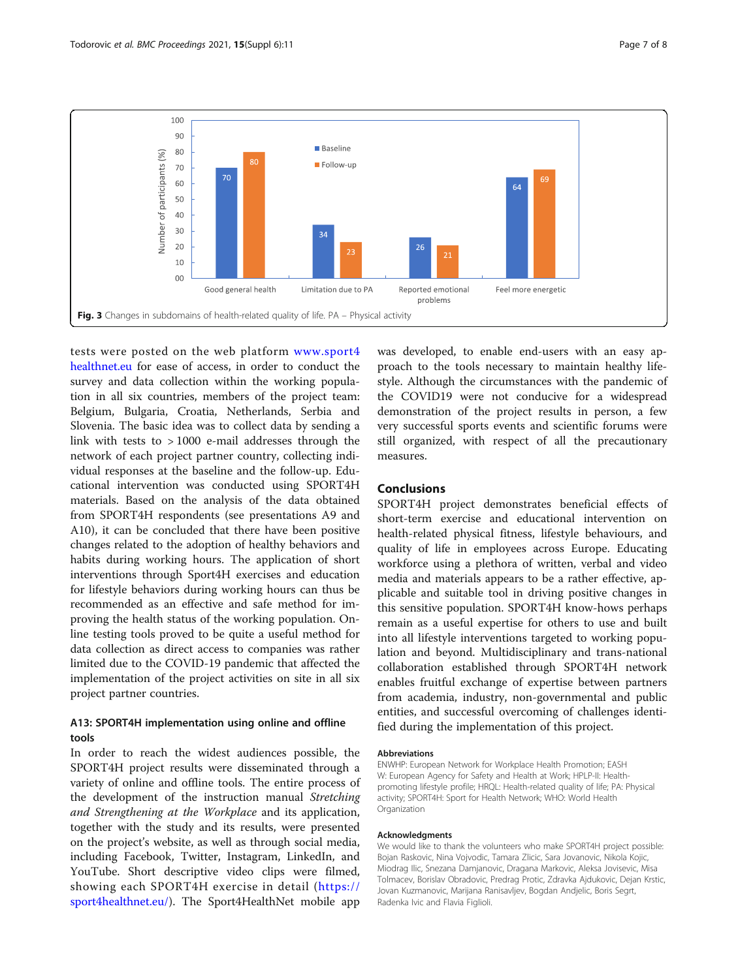<span id="page-6-0"></span>

tests were posted on the web platform [www.sport4](http://www.sport4healthnet.eu) [healthnet.eu](http://www.sport4healthnet.eu) for ease of access, in order to conduct the survey and data collection within the working population in all six countries, members of the project team: Belgium, Bulgaria, Croatia, Netherlands, Serbia and Slovenia. The basic idea was to collect data by sending a link with tests to > 1000 e-mail addresses through the network of each project partner country, collecting individual responses at the baseline and the follow-up. Educational intervention was conducted using SPORT4H materials. Based on the analysis of the data obtained from SPORT4H respondents (see presentations A9 and A10), it can be concluded that there have been positive changes related to the adoption of healthy behaviors and habits during working hours. The application of short interventions through Sport4H exercises and education for lifestyle behaviors during working hours can thus be recommended as an effective and safe method for improving the health status of the working population. Online testing tools proved to be quite a useful method for data collection as direct access to companies was rather limited due to the COVID-19 pandemic that affected the implementation of the project activities on site in all six project partner countries.

# A13: SPORT4H implementation using online and offline tools

In order to reach the widest audiences possible, the SPORT4H project results were disseminated through a variety of online and offline tools. The entire process of the development of the instruction manual Stretching and Strengthening at the Workplace and its application, together with the study and its results, were presented on the project's website, as well as through social media, including Facebook, Twitter, Instagram, LinkedIn, and YouTube. Short descriptive video clips were filmed, showing each SPORT4H exercise in detail ([https://](https://sport4healthnet.eu/) [sport4healthnet.eu/](https://sport4healthnet.eu/)). The Sport4HealthNet mobile app

was developed, to enable end-users with an easy approach to the tools necessary to maintain healthy lifestyle. Although the circumstances with the pandemic of the COVID19 were not conducive for a widespread demonstration of the project results in person, a few very successful sports events and scientific forums were still organized, with respect of all the precautionary measures.

# Conclusions

SPORT4H project demonstrates beneficial effects of short-term exercise and educational intervention on health-related physical fitness, lifestyle behaviours, and quality of life in employees across Europe. Educating workforce using a plethora of written, verbal and video media and materials appears to be a rather effective, applicable and suitable tool in driving positive changes in this sensitive population. SPORT4H know-hows perhaps remain as a useful expertise for others to use and built into all lifestyle interventions targeted to working population and beyond. Multidisciplinary and trans-national collaboration established through SPORT4H network enables fruitful exchange of expertise between partners from academia, industry, non-governmental and public entities, and successful overcoming of challenges identified during the implementation of this project.

#### Abbreviations

ENWHP: European Network for Workplace Health Promotion; EASH W: European Agency for Safety and Health at Work; HPLP-II: Healthpromoting lifestyle profile; HRQL: Health-related quality of life; PA: Physical activity; SPORT4H: Sport for Health Network; WHO: World Health Organization

#### Acknowledgments

We would like to thank the volunteers who make SPORT4H project possible: Bojan Raskovic, Nina Vojvodic, Tamara Zlicic, Sara Jovanovic, Nikola Kojic, Miodrag Ilic, Snezana Damjanovic, Dragana Markovic, Aleksa Jovisevic, Misa Tolmacev, Borislav Obradovic, Predrag Protic, Zdravka Ajdukovic, Dejan Krstic, Jovan Kuzmanovic, Marijana Ranisavljev, Bogdan Andjelic, Boris Segrt, Radenka Ivic and Flavia Figlioli.